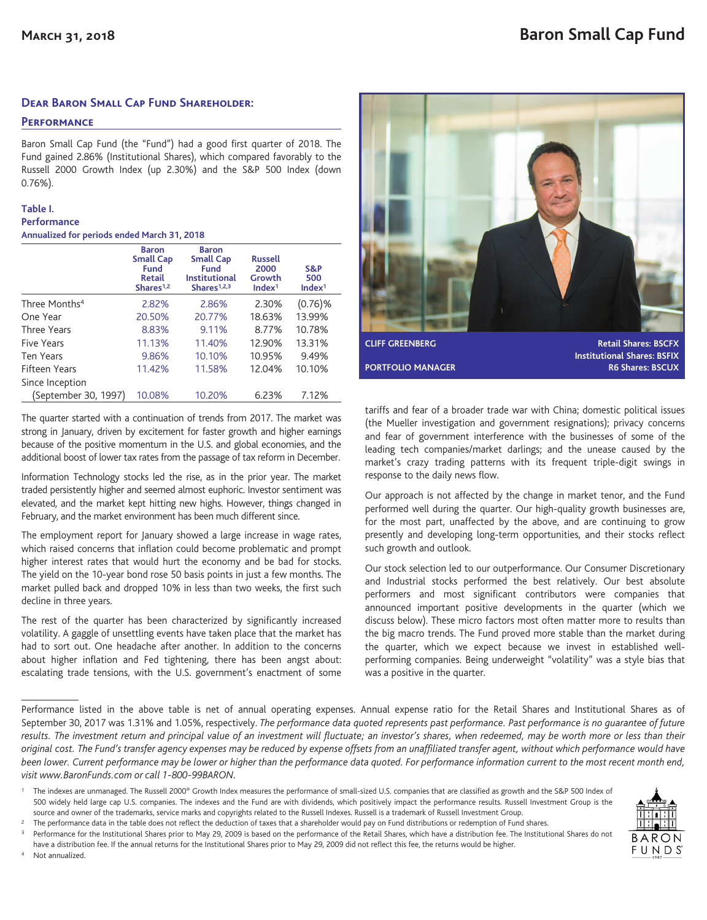### **Dear Baron Small Cap Fund Shareholder:**

### **Performance**

Baron Small Cap Fund (the "Fund") had a good first quarter of 2018. The Fund gained 2.86% (Institutional Shares), which compared favorably to the Russell 2000 Growth Index (up 2.30%) and the S&P 500 Index (down 0.76%).

### **Table I.**

| <b>Performance</b>                          |  |  |  |
|---------------------------------------------|--|--|--|
| Annualized for periods ended March 31, 2018 |  |  |  |

|                           | <b>Baron</b><br><b>Small Cap</b><br>Fund<br><b>Retail</b><br>Shares <sup>1,2</sup> | <b>Baron</b><br><b>Small Cap</b><br>Fund<br><b>Institutional</b><br>Shares <sup>1,2,3</sup> | <b>Russell</b><br>2000<br>Growth<br>Index <sup>1</sup> | S&P<br>500<br>Index <sup>1</sup> |
|---------------------------|------------------------------------------------------------------------------------|---------------------------------------------------------------------------------------------|--------------------------------------------------------|----------------------------------|
| Three Months <sup>4</sup> | 2.82%                                                                              | 2.86%                                                                                       | 2.30%                                                  | $(0.76)$ %                       |
| One Year                  | 20.50%                                                                             | 20.77%                                                                                      | 18.63%                                                 | 13.99%                           |
| Three Years               | 8.83%                                                                              | 9.11%                                                                                       | 8.77%                                                  | 10.78%                           |
| Five Years                | 11.13%                                                                             | 11.40%                                                                                      | 12.90%                                                 | 13.31%                           |
| Ten Years                 | 9.86%                                                                              | 10.10%                                                                                      | 10.95%                                                 | 9.49%                            |
| Fifteen Years             | 11.42%                                                                             | 11.58%                                                                                      | 12.04%                                                 | 10.10%                           |
| Since Inception           |                                                                                    |                                                                                             |                                                        |                                  |
| (September 30, 1997)      | 10.08%                                                                             | 10.20%                                                                                      | 6.23%                                                  | 7.12%                            |

The quarter started with a continuation of trends from 2017. The market was strong in January, driven by excitement for faster growth and higher earnings because of the positive momentum in the U.S. and global economies, and the additional boost of lower tax rates from the passage of tax reform in December.

Information Technology stocks led the rise, as in the prior year. The market traded persistently higher and seemed almost euphoric. Investor sentiment was elevated, and the market kept hitting new highs. However, things changed in February, and the market environment has been much different since.

The employment report for January showed a large increase in wage rates, which raised concerns that inflation could become problematic and prompt higher interest rates that would hurt the economy and be bad for stocks. The yield on the 10-year bond rose 50 basis points in just a few months. The market pulled back and dropped 10% in less than two weeks, the first such decline in three years.

The rest of the quarter has been characterized by significantly increased volatility. A gaggle of unsettling events have taken place that the market has had to sort out. One headache after another. In addition to the concerns about higher inflation and Fed tightening, there has been angst about: escalating trade tensions, with the U.S. government's enactment of some



**Institutional Shares: BSFIX PORTFOLIO MANAGER R6 Shares: BSCUX** 

tariffs and fear of a broader trade war with China; domestic political issues (the Mueller investigation and government resignations); privacy concerns and fear of government interference with the businesses of some of the leading tech companies/market darlings; and the unease caused by the market's crazy trading patterns with its frequent triple-digit swings in response to the daily news flow.

Our approach is not affected by the change in market tenor, and the Fund performed well during the quarter. Our high-quality growth businesses are, for the most part, unaffected by the above, and are continuing to grow presently and developing long-term opportunities, and their stocks reflect such growth and outlook.

Our stock selection led to our outperformance. Our Consumer Discretionary and Industrial stocks performed the best relatively. Our best absolute performers and most significant contributors were companies that announced important positive developments in the quarter (which we discuss below). These micro factors most often matter more to results than the big macro trends. The Fund proved more stable than the market during the quarter, which we expect because we invest in established wellperforming companies. Being underweight "volatility" was a style bias that was a positive in the quarter.

Performance listed in the above table is net of annual operating expenses. Annual expense ratio for the Retail Shares and Institutional Shares as of September 30, 2017 was 1.31% and 1.05%, respectively. *The performance data quoted represents past performance. Past performance is no guarantee of future results. The investment return and principal value of an investment will fluctuate; an investor's shares, when redeemed, may be worth more or less than their original cost. The Fund's transfer agency expenses may be reduced by expense offsets from an unaffiliated transfer agent, without which performance would have been lower. Current performance may be lower or higher than the performance data quoted. For performance information current to the most recent month end, visit www.BaronFunds.com or call 1-800-99BARON.*



The indexes are unmanaged. The Russell 2000® Growth Index measures the performance of small-sized U.S. companies that are classified as growth and the S&P 500 Index of 500 widely held large cap U.S. companies. The indexes and the Fund are with dividends, which positively impact the performance results. Russell Investment Group is the source and owner of the trademarks, service marks and copyrights related to the Russell Indexes. Russell is a trademark of Russell Investment Group.

<sup>&</sup>lt;sup>2</sup> The performance data in the table does not reflect the deduction of taxes that a shareholder would pay on Fund distributions or redemption of Fund shares.

Performance for the Institutional Shares prior to May 29, 2009 is based on the performance of the Retail Shares, which have a distribution fee. The Institutional Shares do not

have a distribution fee. If the annual returns for the Institutional Shares prior to May 29, 2009 did not reflect this fee, the returns would be higher. Not annualized.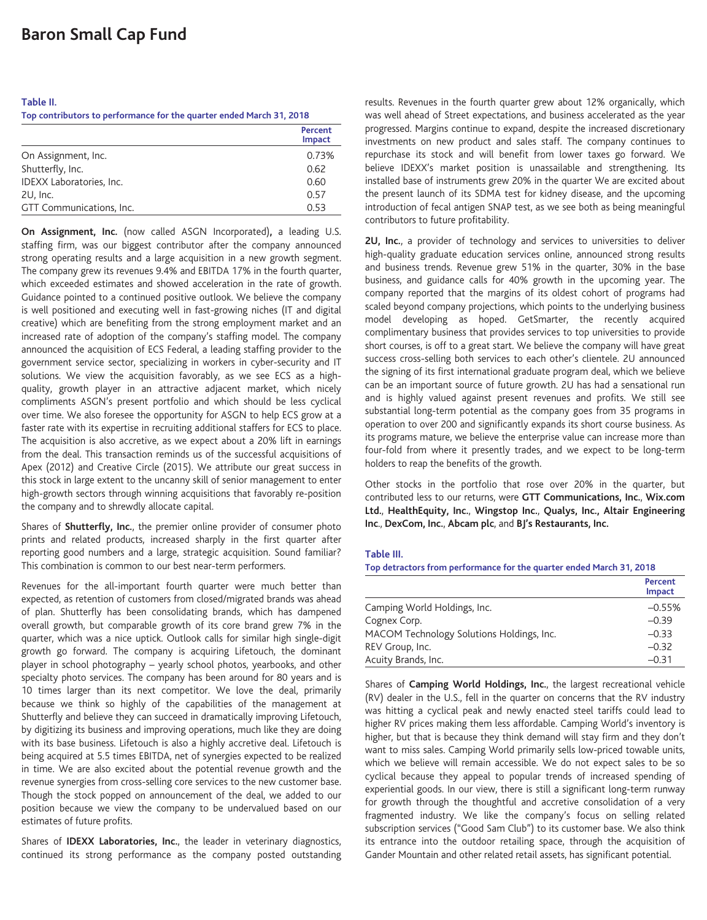#### **Table II.**

**Top contributors to performance for the quarter ended March 31, 2018**

|                          | Percent<br><b>Impact</b> |
|--------------------------|--------------------------|
| On Assignment, Inc.      | 0.73%                    |
| Shutterfly, Inc.         | 0.62                     |
| IDEXX Laboratories, Inc. | 0.60                     |
| 2U, Inc.                 | 0.57                     |
| GTT Communications, Inc. | 0.53                     |

**On Assignment, Inc.** (now called ASGN Incorporated)**,** a leading U.S. staffing firm, was our biggest contributor after the company announced strong operating results and a large acquisition in a new growth segment. The company grew its revenues 9.4% and EBITDA 17% in the fourth quarter, which exceeded estimates and showed acceleration in the rate of growth. Guidance pointed to a continued positive outlook. We believe the company is well positioned and executing well in fast-growing niches (IT and digital creative) which are benefiting from the strong employment market and an increased rate of adoption of the company's staffing model. The company announced the acquisition of ECS Federal, a leading staffing provider to the government service sector, specializing in workers in cyber-security and IT solutions. We view the acquisition favorably, as we see ECS as a highquality, growth player in an attractive adjacent market, which nicely compliments ASGN's present portfolio and which should be less cyclical over time. We also foresee the opportunity for ASGN to help ECS grow at a faster rate with its expertise in recruiting additional staffers for ECS to place. The acquisition is also accretive, as we expect about a 20% lift in earnings from the deal. This transaction reminds us of the successful acquisitions of Apex (2012) and Creative Circle (2015). We attribute our great success in this stock in large extent to the uncanny skill of senior management to enter high-growth sectors through winning acquisitions that favorably re-position the company and to shrewdly allocate capital.

Shares of **Shutterfly, Inc.**, the premier online provider of consumer photo prints and related products, increased sharply in the first quarter after reporting good numbers and a large, strategic acquisition. Sound familiar? This combination is common to our best near-term performers.

Revenues for the all-important fourth quarter were much better than expected, as retention of customers from closed/migrated brands was ahead of plan. Shutterfly has been consolidating brands, which has dampened overall growth, but comparable growth of its core brand grew 7% in the quarter, which was a nice uptick. Outlook calls for similar high single-digit growth go forward. The company is acquiring Lifetouch, the dominant player in school photography – yearly school photos, yearbooks, and other specialty photo services. The company has been around for 80 years and is 10 times larger than its next competitor. We love the deal, primarily because we think so highly of the capabilities of the management at Shutterfly and believe they can succeed in dramatically improving Lifetouch, by digitizing its business and improving operations, much like they are doing with its base business. Lifetouch is also a highly accretive deal. Lifetouch is being acquired at 5.5 times EBITDA, net of synergies expected to be realized in time. We are also excited about the potential revenue growth and the revenue synergies from cross-selling core services to the new customer base. Though the stock popped on announcement of the deal, we added to our position because we view the company to be undervalued based on our estimates of future profits.

Shares of **IDEXX Laboratories, Inc.**, the leader in veterinary diagnostics, continued its strong performance as the company posted outstanding results. Revenues in the fourth quarter grew about 12% organically, which was well ahead of Street expectations, and business accelerated as the year progressed. Margins continue to expand, despite the increased discretionary investments on new product and sales staff. The company continues to repurchase its stock and will benefit from lower taxes go forward. We believe IDEXX's market position is unassailable and strengthening. Its installed base of instruments grew 20% in the quarter We are excited about the present launch of its SDMA test for kidney disease, and the upcoming introduction of fecal antigen SNAP test, as we see both as being meaningful contributors to future profitability.

**2U, Inc.**, a provider of technology and services to universities to deliver high-quality graduate education services online, announced strong results and business trends. Revenue grew 51% in the quarter, 30% in the base business, and guidance calls for 40% growth in the upcoming year. The company reported that the margins of its oldest cohort of programs had scaled beyond company projections, which points to the underlying business model developing as hoped. GetSmarter, the recently acquired complimentary business that provides services to top universities to provide short courses, is off to a great start. We believe the company will have great success cross-selling both services to each other's clientele. 2U announced the signing of its first international graduate program deal, which we believe can be an important source of future growth. 2U has had a sensational run and is highly valued against present revenues and profits. We still see substantial long-term potential as the company goes from 35 programs in operation to over 200 and significantly expands its short course business. As its programs mature, we believe the enterprise value can increase more than four-fold from where it presently trades, and we expect to be long-term holders to reap the benefits of the growth.

Other stocks in the portfolio that rose over 20% in the quarter, but contributed less to our returns, were **GTT Communications, Inc.**, **Wix.com Ltd.**, **HealthEquity, Inc.**, **Wingstop Inc.**, **Qualys, Inc., Altair Engineering Inc**., **DexCom, Inc.**, **Abcam plc**, and **BJ's Restaurants, Inc.**

#### **Table III.**

**Top detractors from performance for the quarter ended March 31, 2018**

|                                           | Percent<br>Impact |
|-------------------------------------------|-------------------|
| Camping World Holdings, Inc.              | $-0.55%$          |
| Cognex Corp.                              | $-0.39$           |
| MACOM Technology Solutions Holdings, Inc. | $-0.33$           |
| REV Group, Inc.                           | $-0.32$           |
| Acuity Brands, Inc.                       | $-0.31$           |

Shares of **Camping World Holdings, Inc.**, the largest recreational vehicle (RV) dealer in the U.S., fell in the quarter on concerns that the RV industry was hitting a cyclical peak and newly enacted steel tariffs could lead to higher RV prices making them less affordable. Camping World's inventory is higher, but that is because they think demand will stay firm and they don't want to miss sales. Camping World primarily sells low-priced towable units, which we believe will remain accessible. We do not expect sales to be so cyclical because they appeal to popular trends of increased spending of experiential goods. In our view, there is still a significant long-term runway for growth through the thoughtful and accretive consolidation of a very fragmented industry. We like the company's focus on selling related subscription services ("Good Sam Club") to its customer base. We also think its entrance into the outdoor retailing space, through the acquisition of Gander Mountain and other related retail assets, has significant potential.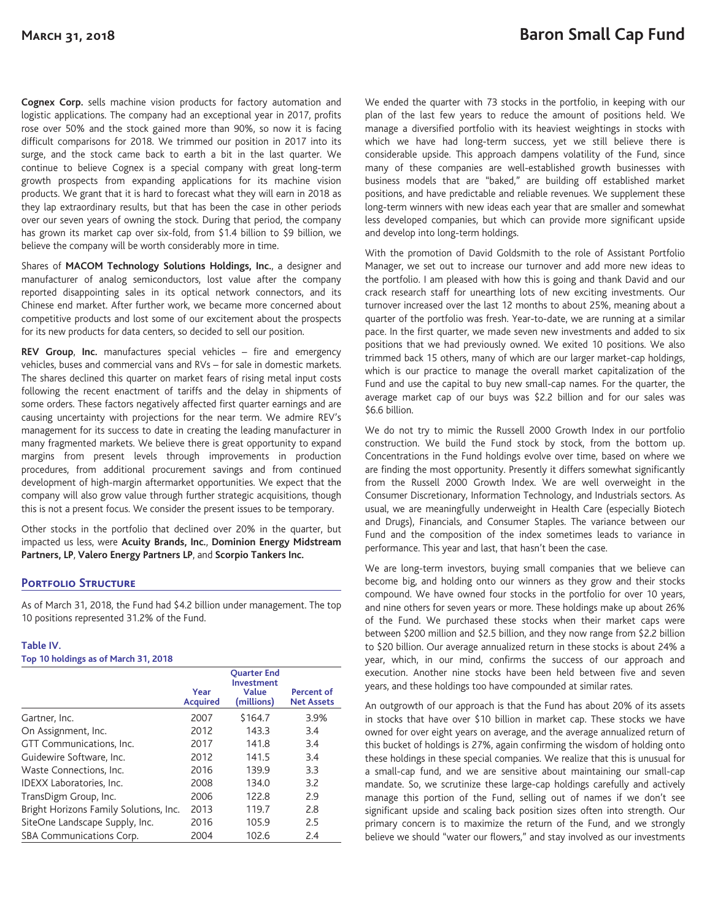**Cognex Corp.** sells machine vision products for factory automation and logistic applications. The company had an exceptional year in 2017, profits rose over 50% and the stock gained more than 90%, so now it is facing difficult comparisons for 2018. We trimmed our position in 2017 into its surge, and the stock came back to earth a bit in the last quarter. We continue to believe Cognex is a special company with great long-term growth prospects from expanding applications for its machine vision products. We grant that it is hard to forecast what they will earn in 2018 as they lap extraordinary results, but that has been the case in other periods over our seven years of owning the stock. During that period, the company has grown its market cap over six-fold, from \$1.4 billion to \$9 billion, we believe the company will be worth considerably more in time.

Shares of **MACOM Technology Solutions Holdings, Inc.**, a designer and manufacturer of analog semiconductors, lost value after the company reported disappointing sales in its optical network connectors, and its Chinese end market. After further work, we became more concerned about competitive products and lost some of our excitement about the prospects for its new products for data centers, so decided to sell our position.

**REV Group**, **Inc.** manufactures special vehicles – fire and emergency vehicles, buses and commercial vans and RVs – for sale in domestic markets. The shares declined this quarter on market fears of rising metal input costs following the recent enactment of tariffs and the delay in shipments of some orders. These factors negatively affected first quarter earnings and are causing uncertainty with projections for the near term. We admire REV's management for its success to date in creating the leading manufacturer in many fragmented markets. We believe there is great opportunity to expand margins from present levels through improvements in production procedures, from additional procurement savings and from continued development of high-margin aftermarket opportunities. We expect that the company will also grow value through further strategic acquisitions, though this is not a present focus. We consider the present issues to be temporary.

Other stocks in the portfolio that declined over 20% in the quarter, but impacted us less, were **Acuity Brands, Inc.**, **Dominion Energy Midstream Partners, LP**, **Valero Energy Partners LP**, and **Scorpio Tankers Inc.**

# **Portfolio Structure**

As of March 31, 2018, the Fund had \$4.2 billion under management. The top 10 positions represented 31.2% of the Fund.

### **Table IV.**

**Top 10 holdings as of March 31, 2018**

|                                        | Year<br><b>Acquired</b> | <b>Ouarter End</b><br><b>Investment</b><br>Value<br>(millions) | <b>Percent of</b><br><b>Net Assets</b> |
|----------------------------------------|-------------------------|----------------------------------------------------------------|----------------------------------------|
| Gartner, Inc.                          | 2007                    | \$164.7                                                        | 3.9%                                   |
| On Assignment, Inc.                    | 2012                    | 143.3                                                          | 3.4                                    |
| GTT Communications, Inc.               | 2017                    | 141.8                                                          | 3.4                                    |
| Guidewire Software, Inc.               | 2012                    | 141.5                                                          | 3.4                                    |
| Waste Connections, Inc.                | 2016                    | 139.9                                                          | 3.3                                    |
| IDEXX Laboratories, Inc.               | 2008                    | 134.0                                                          | 3.2                                    |
| TransDigm Group, Inc.                  | 2006                    | 122.8                                                          | 2.9                                    |
| Bright Horizons Family Solutions, Inc. | 2013                    | 119.7                                                          | 2.8                                    |
| SiteOne Landscape Supply, Inc.         | 2016                    | 105.9                                                          | 2.5                                    |
| SBA Communications Corp.               | 2004                    | 102.6                                                          | 2.4                                    |

We ended the quarter with 73 stocks in the portfolio, in keeping with our plan of the last few years to reduce the amount of positions held. We manage a diversified portfolio with its heaviest weightings in stocks with which we have had long-term success, yet we still believe there is considerable upside. This approach dampens volatility of the Fund, since many of these companies are well-established growth businesses with business models that are "baked," are building off established market positions, and have predictable and reliable revenues. We supplement these long-term winners with new ideas each year that are smaller and somewhat less developed companies, but which can provide more significant upside and develop into long-term holdings.

With the promotion of David Goldsmith to the role of Assistant Portfolio Manager, we set out to increase our turnover and add more new ideas to the portfolio. I am pleased with how this is going and thank David and our crack research staff for unearthing lots of new exciting investments. Our turnover increased over the last 12 months to about 25%, meaning about a quarter of the portfolio was fresh. Year-to-date, we are running at a similar pace. In the first quarter, we made seven new investments and added to six positions that we had previously owned. We exited 10 positions. We also trimmed back 15 others, many of which are our larger market-cap holdings, which is our practice to manage the overall market capitalization of the Fund and use the capital to buy new small-cap names. For the quarter, the average market cap of our buys was \$2.2 billion and for our sales was \$6.6 billion.

We do not try to mimic the Russell 2000 Growth Index in our portfolio construction. We build the Fund stock by stock, from the bottom up. Concentrations in the Fund holdings evolve over time, based on where we are finding the most opportunity. Presently it differs somewhat significantly from the Russell 2000 Growth Index. We are well overweight in the Consumer Discretionary, Information Technology, and Industrials sectors. As usual, we are meaningfully underweight in Health Care (especially Biotech and Drugs), Financials, and Consumer Staples. The variance between our Fund and the composition of the index sometimes leads to variance in performance. This year and last, that hasn't been the case.

We are long-term investors, buying small companies that we believe can become big, and holding onto our winners as they grow and their stocks compound. We have owned four stocks in the portfolio for over 10 years, and nine others for seven years or more. These holdings make up about 26% of the Fund. We purchased these stocks when their market caps were between \$200 million and \$2.5 billion, and they now range from \$2.2 billion to \$20 billion. Our average annualized return in these stocks is about 24% a year, which, in our mind, confirms the success of our approach and execution. Another nine stocks have been held between five and seven years, and these holdings too have compounded at similar rates.

An outgrowth of our approach is that the Fund has about 20% of its assets in stocks that have over \$10 billion in market cap. These stocks we have owned for over eight years on average, and the average annualized return of this bucket of holdings is 27%, again confirming the wisdom of holding onto these holdings in these special companies. We realize that this is unusual for a small-cap fund, and we are sensitive about maintaining our small-cap mandate. So, we scrutinize these large-cap holdings carefully and actively manage this portion of the Fund, selling out of names if we don't see significant upside and scaling back position sizes often into strength. Our primary concern is to maximize the return of the Fund, and we strongly believe we should "water our flowers," and stay involved as our investments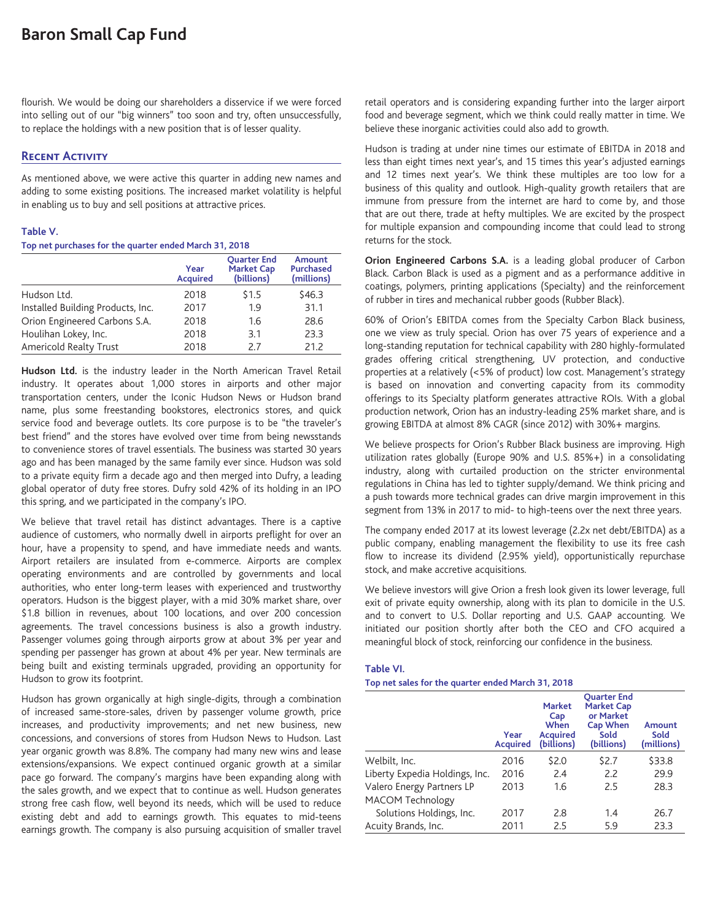flourish. We would be doing our shareholders a disservice if we were forced into selling out of our "big winners" too soon and try, often unsuccessfully, to replace the holdings with a new position that is of lesser quality.

# **Recent Activity**

As mentioned above, we were active this quarter in adding new names and adding to some existing positions. The increased market volatility is helpful in enabling us to buy and sell positions at attractive prices.

### **Table V.**

### **Top net purchases for the quarter ended March 31, 2018**

|                                   | Year<br><b>Acquired</b> | <b>Ouarter End</b><br><b>Market Cap</b><br>(billions) | <b>Amount</b><br><b>Purchased</b><br>(millions) |
|-----------------------------------|-------------------------|-------------------------------------------------------|-------------------------------------------------|
| Hudson Ltd.                       | 2018                    | \$1.5                                                 | \$46.3                                          |
| Installed Building Products, Inc. | 2017                    | 1.9                                                   | 31.1                                            |
| Orion Engineered Carbons S.A.     | 2018                    | 1.6                                                   | 28.6                                            |
| Houlihan Lokey, Inc.              | 2018                    | 3.1                                                   | 23.3                                            |
| Americold Realty Trust            | 2018                    | 27                                                    | 21.2                                            |

**Hudson Ltd.** is the industry leader in the North American Travel Retail industry. It operates about 1,000 stores in airports and other major transportation centers, under the Iconic Hudson News or Hudson brand name, plus some freestanding bookstores, electronics stores, and quick service food and beverage outlets. Its core purpose is to be "the traveler's best friend" and the stores have evolved over time from being newsstands to convenience stores of travel essentials. The business was started 30 years ago and has been managed by the same family ever since. Hudson was sold to a private equity firm a decade ago and then merged into Dufry, a leading global operator of duty free stores. Dufry sold 42% of its holding in an IPO this spring, and we participated in the company's IPO.

We believe that travel retail has distinct advantages. There is a captive audience of customers, who normally dwell in airports preflight for over an hour, have a propensity to spend, and have immediate needs and wants. Airport retailers are insulated from e-commerce. Airports are complex operating environments and are controlled by governments and local authorities, who enter long-term leases with experienced and trustworthy operators. Hudson is the biggest player, with a mid 30% market share, over \$1.8 billion in revenues, about 100 locations, and over 200 concession agreements. The travel concessions business is also a growth industry. Passenger volumes going through airports grow at about 3% per year and spending per passenger has grown at about 4% per year. New terminals are being built and existing terminals upgraded, providing an opportunity for Hudson to grow its footprint.

Hudson has grown organically at high single-digits, through a combination of increased same-store-sales, driven by passenger volume growth, price increases, and productivity improvements; and net new business, new concessions, and conversions of stores from Hudson News to Hudson. Last year organic growth was 8.8%. The company had many new wins and lease extensions/expansions. We expect continued organic growth at a similar pace go forward. The company's margins have been expanding along with the sales growth, and we expect that to continue as well. Hudson generates strong free cash flow, well beyond its needs, which will be used to reduce existing debt and add to earnings growth. This equates to mid-teens earnings growth. The company is also pursuing acquisition of smaller travel retail operators and is considering expanding further into the larger airport food and beverage segment, which we think could really matter in time. We believe these inorganic activities could also add to growth.

Hudson is trading at under nine times our estimate of EBITDA in 2018 and less than eight times next year's, and 15 times this year's adjusted earnings and 12 times next year's. We think these multiples are too low for a business of this quality and outlook. High-quality growth retailers that are immune from pressure from the internet are hard to come by, and those that are out there, trade at hefty multiples. We are excited by the prospect for multiple expansion and compounding income that could lead to strong returns for the stock.

**Orion Engineered Carbons S.A.** is a leading global producer of Carbon Black. Carbon Black is used as a pigment and as a performance additive in coatings, polymers, printing applications (Specialty) and the reinforcement of rubber in tires and mechanical rubber goods (Rubber Black).

60% of Orion's EBITDA comes from the Specialty Carbon Black business, one we view as truly special. Orion has over 75 years of experience and a long-standing reputation for technical capability with 280 highly-formulated grades offering critical strengthening, UV protection, and conductive properties at a relatively (<5% of product) low cost. Management's strategy is based on innovation and converting capacity from its commodity offerings to its Specialty platform generates attractive ROIs. With a global production network, Orion has an industry-leading 25% market share, and is growing EBITDA at almost 8% CAGR (since 2012) with 30%+ margins.

We believe prospects for Orion's Rubber Black business are improving. High utilization rates globally (Europe 90% and U.S. 85%+) in a consolidating industry, along with curtailed production on the stricter environmental regulations in China has led to tighter supply/demand. We think pricing and a push towards more technical grades can drive margin improvement in this segment from 13% in 2017 to mid- to high-teens over the next three years.

The company ended 2017 at its lowest leverage (2.2x net debt/EBITDA) as a public company, enabling management the flexibility to use its free cash flow to increase its dividend (2.95% yield), opportunistically repurchase stock, and make accretive acquisitions.

We believe investors will give Orion a fresh look given its lower leverage, full exit of private equity ownership, along with its plan to domicile in the U.S. and to convert to U.S. Dollar reporting and U.S. GAAP accounting. We initiated our position shortly after both the CEO and CFO acquired a meaningful block of stock, reinforcing our confidence in the business.

#### **Table VI.**

#### **Top net sales for the quarter ended March 31, 2018**

|                                | Year<br><b>Acquired</b> | <b>Market</b><br>Cap<br>When<br><b>Acquired</b><br>(billions) | <b>Ouarter End</b><br><b>Market Cap</b><br>or Market<br><b>Cap When</b><br>Sold<br>(billions) | Amount<br>Sold<br>(millions) |
|--------------------------------|-------------------------|---------------------------------------------------------------|-----------------------------------------------------------------------------------------------|------------------------------|
| Welbilt, Inc.                  | 2016                    | \$2.0                                                         | \$2.7                                                                                         | \$33.8                       |
| Liberty Expedia Holdings, Inc. | 2016                    | 2.4                                                           | 2.2                                                                                           | 29.9                         |
| Valero Energy Partners LP      | 2013                    | 1.6                                                           | 2.5                                                                                           | 28.3                         |
| MACOM Technology               |                         |                                                               |                                                                                               |                              |
| Solutions Holdings, Inc.       | 2017                    | 2.8                                                           | 1.4                                                                                           | 26.7                         |
| Acuity Brands, Inc.            | 2011                    | 2.5                                                           | 5.9                                                                                           | 23.3                         |